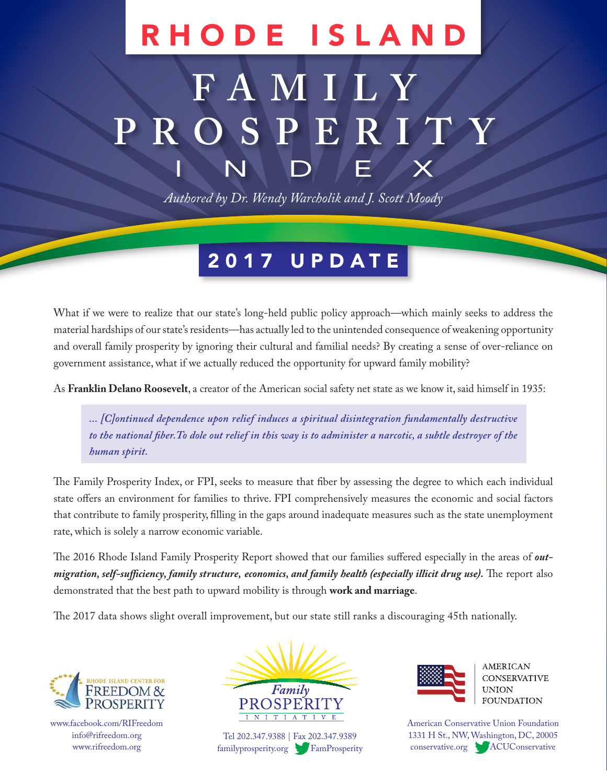# RHODE ISLAND

# **FAMILY PROSPERITY** INDEX

*Authored by Dr. Wendy Warcholik and J. Scott Moody*

## 2017 UPDATE

What if we were to realize that our state's long-held public policy approach—which mainly seeks to address the material hardships of our state's residents—has actually led to the unintended consequence of weakening opportunity and overall family prosperity by ignoring their cultural and familial needs? By creating a sense of over-reliance on government assistance, what if we actually reduced the opportunity for upward family mobility?

As **Franklin Delano Roosevelt**, a creator of the American social safety net state as we know it, said himself in 1935:

*... [C]ontinued dependence upon relief induces a spiritual disintegration fundamentally destructive to the national fiber.To dole out relief in this way is to administer a narcotic, a subtle destroyer of the human spirit.*

The Family Prosperity Index, or FPI, seeks to measure that fiber by assessing the degree to which each individual state offers an environment for families to thrive. FPI comprehensively measures the economic and social factors that contribute to family prosperity, filling in the gaps around inadequate measures such as the state unemployment rate, which is solely a narrow economic variable.

The 2016 Rhode Island Family Prosperity Report showed that our families suffered especially in the areas of *outmigration, self-sufficiency, family structure, economics, and family health (especially illicit drug use).* The report also demonstrated that the best path to upward mobility is through **work and marriage**.

The 2017 data shows slight overall improvement, but our state still ranks a discouraging 45th nationally.



www.facebook.com/RIFreedom info@rifreedom.org www.rifreedom.org



Tel 202.347.9388 | Fax 202.347.9389 familyprosperity.org FamProsperity



**AMERICAN CONSERVATIVE** UNION **FOUNDATION** 

American Conservative Union Foundation 1331 H St., NW, Washington, DC, 20005 conservative.org ACUConservative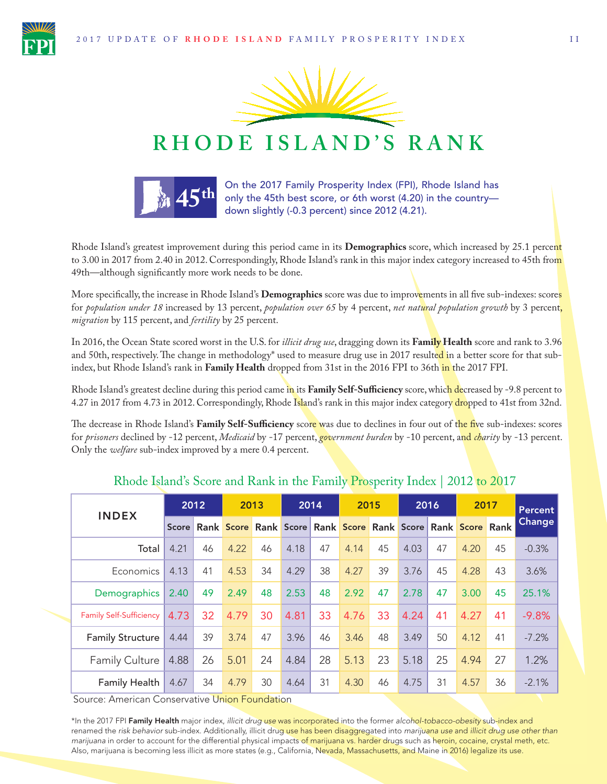



## **RHODE ISLAND'S RANK**



On the 2017 Family Prosperity Index (FPI), Rhode Island has **4.5<sup>th</sup>** only the 45th best score, or 6th worst (4.20) in the country—<br>down slightly (-0.3 percent) since 2012 (4.21).

Rhode Island's greatest improvement during this period came in its **Demographics** score, which increased by 25.1 percent to 3.00 in 2017 from 2.40 in 2012. Correspondingly, Rhode Island's rank in this major index category increased to 45th from 49th—although significantly more work needs to be done.

More specifically, the increase in Rhode Island's **Demographics** score was due to improvements in all five sub-indexes: scores for *population under 18* increased by 13 percent, *population over 65* by 4 percent, *net natural population growth* by 3 percent, *migration* by 115 percent, and *fertility* by 25 percent.

In 2016, the Ocean State scored worst in the U.S. for *illicit drug use*, dragging down its **Family Health** score and rank to 3.96 and 50th, respectively. The change in methodology<sup>\*</sup> used to measure drug use in 2017 resulted in a better score for that subindex, but Rhode Island's rank in **Family Health** dropped from 31st in the 2016 FPI to 36th in the 2017 FPI.

Rhode Island's greatest decline during this period came in its **Family Self-Sufficiency** score, which decreased by -9.8 percent to 4.27 in 2017 from 4.73 in 2012. Correspondingly, Rhode Island's rank in this major index category dropped to 41st from 32nd.

The decrease in Rhode Island's **Family Self-Sufficiency** score was due to declines in four out of the five sub-indexes: scores for *prisoners* declined by -12 percent, *Medicaid* by -17 percent, *government burden* by -10 percent, and *charity* by -13 percent. Only the *welfare* sub-index improved by a mere 0.4 percent.

| <b>INDEX</b>                   | 2012         |    | 2013 |    | 2014                                                        |    | 2015 |    | 2016 |    | 2017 |    | Percent |
|--------------------------------|--------------|----|------|----|-------------------------------------------------------------|----|------|----|------|----|------|----|---------|
|                                | <b>Score</b> |    |      |    | Rank Score Rank Score Rank Score Rank Score Rank Score Rank |    |      |    |      |    |      |    | Change  |
| Total                          | 4.21         | 46 | 4.22 | 46 | 4.18                                                        | 47 | 4.14 | 45 | 4.03 | 47 | 4.20 | 45 | $-0.3%$ |
| Economics                      | 4.13         | 41 | 4.53 | 34 | 4.29                                                        | 38 | 4.27 | 39 | 3.76 | 45 | 4.28 | 43 | 3.6%    |
| Demographics                   | 2.40         | 49 | 2.49 | 48 | 2.53                                                        | 48 | 2.92 | 47 | 2.78 | 47 | 3.00 | 45 | 25.1%   |
| <b>Family Self-Sufficiency</b> | 4.73         | 32 | 4.79 | 30 | 4.81                                                        | 33 | 4.76 | 33 | 4.24 | 41 | 4.27 | 41 | $-9.8%$ |
| <b>Family Structure</b>        | 4.44         | 39 | 3.74 | 47 | 3.96                                                        | 46 | 3.46 | 48 | 3.49 | 50 | 4.12 | 41 | $-7.2%$ |
| <b>Family Culture</b>          | 4.88         | 26 | 5.01 | 24 | 4.84                                                        | 28 | 5.13 | 23 | 5.18 | 25 | 4.94 | 27 | 1.2%    |
| Family Health                  | 4.67         | 34 | 4.79 | 30 | 4.64                                                        | 31 | 4.30 | 46 | 4.75 | 31 | 4.57 | 36 | $-2.1%$ |

#### Rhode Island's Score and Rank in the Family Prosperity Index | 2012 to 2017

Source: American Conservative Union Foundation

\*In the 2017 FPI Family Health major index, *illicit drug use* was incorporated into the former *alcohol-tobacco-obesity* sub-index and renamed the *risk behavior* sub-index. Additionally, illicit drug use has been disaggregated into *marijuana use* and *illicit drug use other than marijuana* in order to account for the differential physical impacts of marijuana vs. harder drugs such as heroin, cocaine, crystal meth, etc. Also, marijuana is becoming less illicit as more states (e.g., California, Nevada, Massachusetts, and Maine in 2016) legalize its use.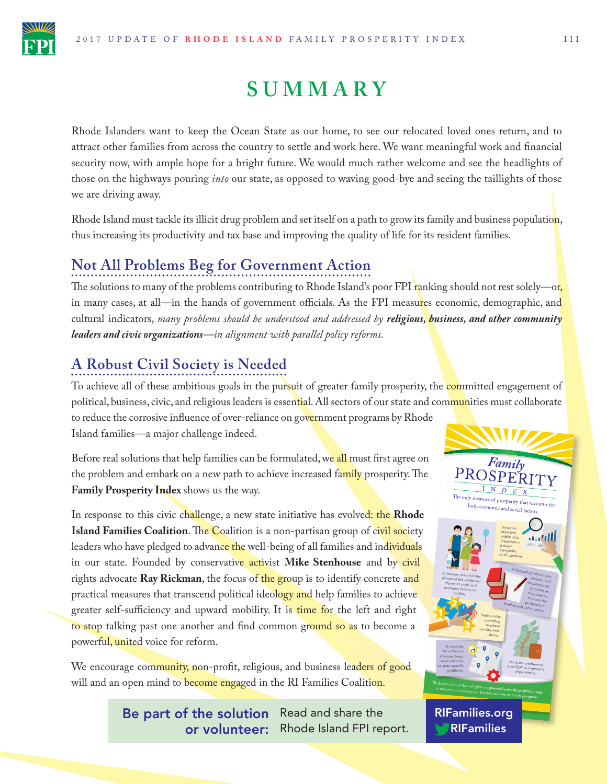

## **SUMMARY**

Rhode Islanders want to keep the Ocean State as our home, to see our relocated loved ones return, and to attract other families from across the country to settle and work here. We want meaningful work and financial security now, with ample hope for a bright future. We would much rather welcome and see the headlights of those on the highways pouring *into* our state, as opposed to waving good-bye and seeing the taillights of those we are driving away.

Rhode Island must tackle its illicit drug problem and set itself on a path to grow its family and business populatio<mark>n</mark>, thus increasing its productivity and tax base and improving the quality of life for its resident families.

### **Not All Problems Beg for Government Action**

The solutions to many of the problems contributing to Rhode Island's poor FPI ranking should not rest solely—or, in many cases, at all—in the hands of government officials. As the FPI measures economic, demographic, and cultural indicators, *many problems should be understood and addressed by religious, business, and other community leaders and civic organizations—in alignment with parallel policy reforms.*

### **A Robust Civil Society is Needed**

To achieve all of these ambitious goals in the pursuit of greater family prosperity, the committed engagement of political, business, civic, and religious leaders is essential. All sectors of our state and communities must collaborate to reduce the corrosive influence of over-reliance on government programs by Rhode Island families—a major challenge indeed.

Before real solutions that help families can be formulated, we all must first agree on the problem and embark on a new path to achieve increased family prosperity. The **Family Prosperity Index** shows us the way.

In response to this civic challenge, a new state initiative has evolved: the **Rhode Island Families Coalition**. The Coalition is a non-partisan group of civil society leaders who have pledged to advance the well-being of all families and individuals in our state. Founded by conservative activist **Mike Stenhouse** and by civil rights advocate **Ray Rickman**, the focus of the group is to identify concrete and practical measures that transcend political ideology and help families to achieve greater self-sufficiency and upward mobility. It is time for the left and right to stop talking past one another and find common ground so as to become a powerful, united voice for reform.

We encourage community, non-profit, religious, and business leaders of good will and an open mind to become engaged in the RI Families Coalition.

> Be part of the solution Read and share the or volunteer: Rhode Island FPI report.